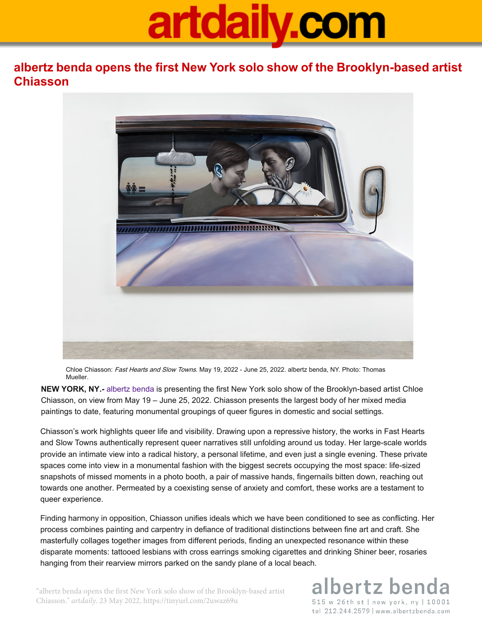## artdaily.com

**albertz benda opens the first New York solo show of the Brooklyn-based artist Chiasson**



Chloe Chiasson: Fast Hearts and Slow Towns. May 19, 2022 - June 25, 2022. albertz benda, NY. Photo: Thomas Mueller.

**NEW YORK, NY.-** albertz benda is presenting the first New York solo show of the Brooklyn-based artist Chloe Chiasson, on view from May 19 – June 25, 2022. Chiasson presents the largest body of her mixed media paintings to date, featuring monumental groupings of queer figures in domestic and social settings.

Chiasson's work highlights queer life and visibility. Drawing upon a repressive history, the works in Fast Hearts and Slow Towns authentically represent queer narratives still unfolding around us today. Her large-scale worlds provide an intimate view into a radical history, a personal lifetime, and even just a single evening. These private spaces come into view in a monumental fashion with the biggest secrets occupying the most space: life-sized snapshots of missed moments in a photo booth, a pair of massive hands, fingernails bitten down, reaching out towards one another. Permeated by a coexisting sense of anxiety and comfort, these works are a testament to queer experience.

Finding harmony in opposition, Chiasson unifies ideals which we have been conditioned to see as conflicting. Her process combines painting and carpentry in defiance of traditional distinctions between fine art and craft. She masterfully collages together images from different periods, finding an unexpected resonance within these disparate moments: tattooed lesbians with cross earrings smoking cigarettes and drinking Shiner beer, rosaries hanging from their rearview mirrors parked on the sandy plane of a local beach.

albertz bend

515 w 26th st | new york, ny | 10001 tel 212.244.2579 | www.albertzbenda.com

"albertz benda opens the first New York solo show of the Brooklyn-based artist Chiasson." *artdaily*. 23 May 2022, https://tinyurl.com/2uwaz69u